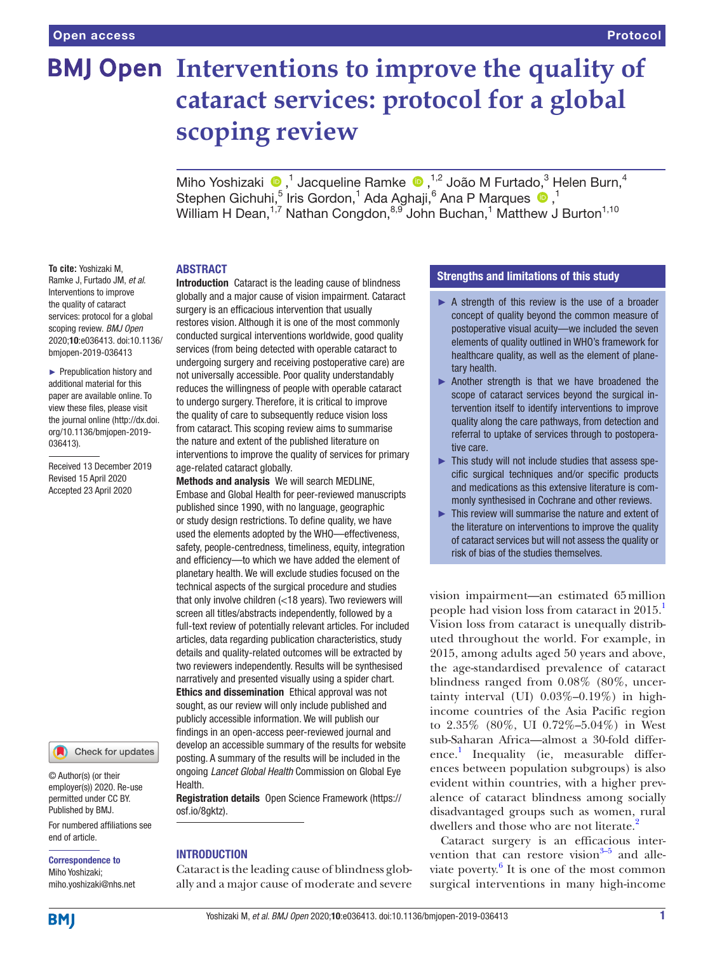# **BMJ Open** Interventions to improve the quality of **cataract services: protocol for a global scoping review**

MihoYoshizaki (D,<sup>1</sup> Jacqueline Ramke (D,<sup>1,2</sup> João M Furtado,<sup>3</sup> Helen Burn,<sup>4</sup> StephenGichuhi,<sup>5</sup> Iris Gordon,<sup>1</sup> Ada Aghaji,<sup>6</sup> Ana P Marques <sup>1</sup>,<sup>1</sup> William H Dean, $^{1,7}$  Nathan Congdon, $^{8,9}$  John Buchan, $^1$  Matthew J Burton $^{1,10}$ 

# **ABSTRACT**

**To cite:** Yoshizaki M, Ramke J, Furtado JM, *et al*. Interventions to improve the quality of cataract services: protocol for a global scoping review. *BMJ Open* 2020;10:e036413. doi:10.1136/ bmjopen-2019-036413

► Prepublication history and additional material for this paper are available online. To view these files, please visit the journal online (http://dx.doi. org/10.1136/bmjopen-2019- 036413).

Received 13 December 2019 Revised 15 April 2020 Accepted 23 April 2020

Check for updates

© Author(s) (or their employer(s)) 2020. Re-use permitted under CC BY. Published by BMJ.

For numbered affiliations see end of article.

Correspondence to Miho Yoshizaki; miho.yoshizaki@nhs.net Introduction Cataract is the leading cause of blindness globally and a major cause of vision impairment. Cataract surgery is an efficacious intervention that usually restores vision. Although it is one of the most commonly conducted surgical interventions worldwide, good quality services (from being detected with operable cataract to undergoing surgery and receiving postoperative care) are not universally accessible. Poor quality understandably reduces the willingness of people with operable cataract to undergo surgery. Therefore, it is critical to improve the quality of care to subsequently reduce vision loss from cataract. This scoping review aims to summarise the nature and extent of the published literature on interventions to improve the quality of services for primary age-related cataract globally.

Methods and analysis We will search MEDLINE, Embase and Global Health for peer-reviewed manuscripts published since 1990, with no language, geographic or study design restrictions. To define quality, we have used the elements adopted by the WHO—effectiveness, safety, people-centredness, timeliness, equity, integration and efficiency—to which we have added the element of planetary health. We will exclude studies focused on the technical aspects of the surgical procedure and studies that only involve children (<18 years). Two reviewers will screen all titles/abstracts independently, followed by a full-text review of potentially relevant articles. For included articles, data regarding publication characteristics, study details and quality-related outcomes will be extracted by two reviewers independently. Results will be synthesised narratively and presented visually using a spider chart. Ethics and dissemination Ethical approval was not sought, as our review will only include published and publicly accessible information. We will publish our findings in an open-access peer-reviewed journal and develop an accessible summary of the results for website posting. A summary of the results will be included in the ongoing *Lancet Global Health* Commission on Global Eye Health.

Registration details Open Science Framework ([https://](https://osf.io/8gktz) [osf.io/8gktz\)](https://osf.io/8gktz).

# **INTRODUCTION**

Cataract is the leading cause of blindness globally and a major cause of moderate and severe

# Strengths and limitations of this study

- ► A strength of this review is the use of a broader concept of quality beyond the common measure of postoperative visual acuity—we included the seven elements of quality outlined in WHO's framework for healthcare quality, as well as the element of planetary health.
- ► Another strength is that we have broadened the scope of cataract services beyond the surgical intervention itself to identify interventions to improve quality along the care pathways, from detection and referral to uptake of services through to postoperative care.
- ► This study will not include studies that assess specific surgical techniques and/or specific products and medications as this extensive literature is commonly synthesised in Cochrane and other reviews.
- ► This review will summarise the nature and extent of the literature on interventions to improve the quality of cataract services but will not assess the quality or risk of bias of the studies themselves.

vision impairment—an estimated 65million people had vision loss from cataract in 2015. Vision loss from cataract is unequally distributed throughout the world. For example, in 2015, among adults aged 50 years and above, the age-standardised prevalence of cataract blindness ranged from 0.08% (80%, uncertainty interval (UI) 0.03%–0.19%) in highincome countries of the Asia Pacific region to 2.35% (80%, UI 0.72%–5.04%) in West sub-Saharan Africa—almost a 30-fold difference. [1](#page-5-0) Inequality (ie, measurable differences between population subgroups) is also evident within countries, with a higher prevalence of cataract blindness among socially disadvantaged groups such as women, rural dwellers and those who are not literate.<sup>[2](#page-5-1)</sup>

Cataract surgery is an efficacious intervention that can restore vision $3-5$  and alleviate poverty. $6$  It is one of the most common surgical interventions in many high-income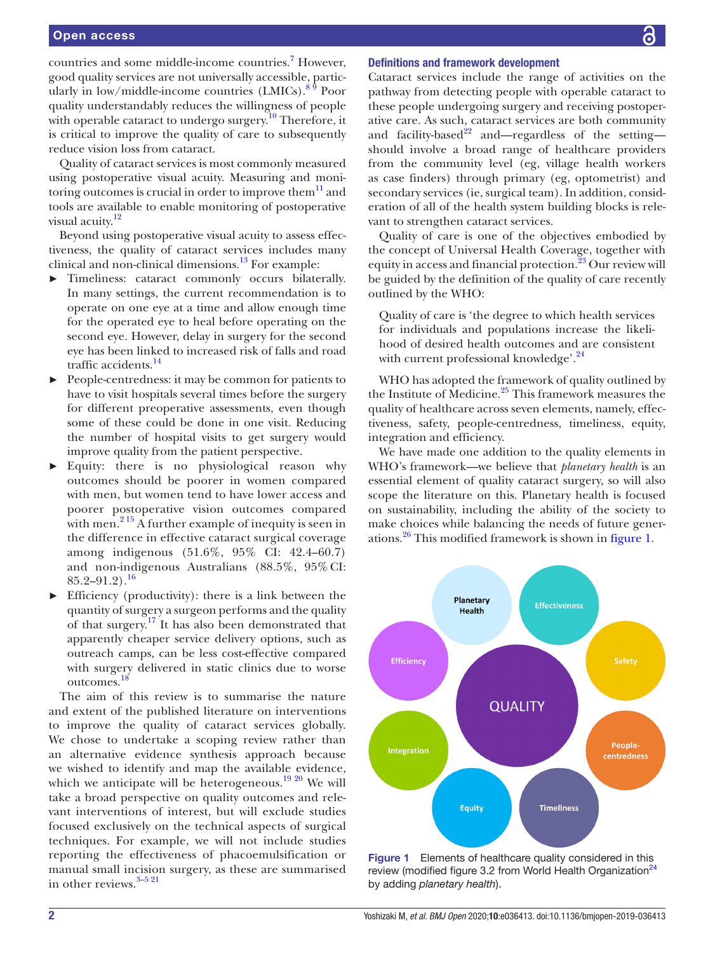# Open access

countries and some middle-income countries.<sup>[7](#page-6-2)</sup> However, good quality services are not universally accessible, particularly in low/middle-income countries  $(LMICs)$ .<sup>89</sup> Poor quality understandably reduces the willingness of people with operable cataract to undergo surgery.<sup>10</sup> Therefore, it is critical to improve the quality of care to subsequently reduce vision loss from cataract.

Quality of cataract services is most commonly measured using postoperative visual acuity. Measuring and monitoring outcomes is crucial in order to improve them $^{11}$  and tools are available to enable monitoring of postoperative visual acuity.<sup>[12](#page-6-6)</sup>

Beyond using postoperative visual acuity to assess effectiveness, the quality of cataract services includes many clinical and non-clinical dimensions.<sup>13</sup> For example:

- Timeliness: cataract commonly occurs bilaterally. In many settings, the current recommendation is to operate on one eye at a time and allow enough time for the operated eye to heal before operating on the second eye. However, delay in surgery for the second eye has been linked to increased risk of falls and road traffic accidents[.14](#page-6-8)
- People-centredness: it may be common for patients to have to visit hospitals several times before the surgery for different preoperative assessments, even though some of these could be done in one visit. Reducing the number of hospital visits to get surgery would improve quality from the patient perspective.
- Equity: there is no physiological reason why outcomes should be poorer in women compared with men, but women tend to have lower access and poorer postoperative vision outcomes compared with men.<sup>215</sup> A further example of inequity is seen in the difference in effective cataract surgical coverage among indigenous (51.6%, 95% CI: 42.4–60.7) and non-indigenous Australians (88.5%, 95% CI:  $85.2 - 91.2$ ).<sup>[16](#page-6-9)</sup>
- Efficiency (productivity): there is a link between the quantity of surgery a surgeon performs and the quality of that surgery.[17](#page-6-10) It has also been demonstrated that apparently cheaper service delivery options, such as outreach camps, can be less cost-effective compared with surgery delivered in static clinics due to worse outcomes.[18](#page-6-11)

The aim of this review is to summarise the nature and extent of the published literature on interventions to improve the quality of cataract services globally. We chose to undertake a scoping review rather than an alternative evidence synthesis approach because we wished to identify and map the available evidence, which we anticipate will be heterogeneous.<sup>[19 20](#page-6-12)</sup> We will take a broad perspective on quality outcomes and relevant interventions of interest, but will exclude studies focused exclusively on the technical aspects of surgical techniques. For example, we will not include studies reporting the effectiveness of phacoemulsification or manual small incision surgery, as these are summarised in other reviews.<sup>3-5 21</sup>

# Definitions and framework development

Cataract services include the range of activities on the pathway from detecting people with operable cataract to these people undergoing surgery and receiving postoperative care. As such, cataract services are both community and facility-based $^{22}$  and—regardless of the setting should involve a broad range of healthcare providers from the community level (eg, village health workers as case finders) through primary (eg, optometrist) and secondary services (ie, surgical team). In addition, consideration of all of the health system building blocks is relevant to strengthen cataract services.

Quality of care is one of the objectives embodied by the concept of Universal Health Coverage, together with equity in access and financial protection.<sup>[23](#page-6-14)</sup> Our review will be guided by the definition of the quality of care recently outlined by the WHO:

Quality of care is 'the degree to which health services for individuals and populations increase the likelihood of desired health outcomes and are consistent with current professional knowledge'.<sup>24</sup>

WHO has adopted the framework of quality outlined by the Institute of Medicine.<sup>[25](#page-6-15)</sup> This framework measures the quality of healthcare across seven elements, namely, effectiveness, safety, people-centredness, timeliness, equity, integration and efficiency.

We have made one addition to the quality elements in WHO's framework—we believe that *planetary health* is an essential element of quality cataract surgery, so will also scope the literature on this. Planetary health is focused on sustainability, including the ability of the society to make choices while balancing the needs of future generations.<sup>26</sup> This modified framework is shown in [figure](#page-1-0) 1.



<span id="page-1-0"></span>Figure 1 Elements of healthcare quality considered in this review (modified figure 3.2 from World Health Organization<sup>[24](#page-6-1)</sup> by adding *planetary health*).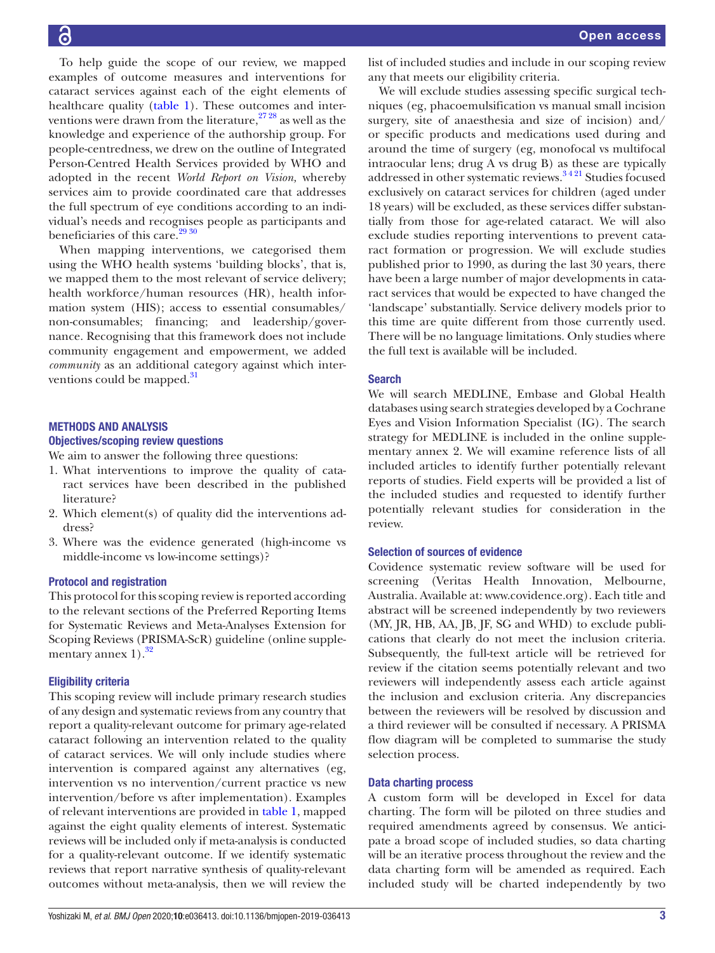To help guide the scope of our review, we mapped examples of outcome measures and interventions for cataract services against each of the eight elements of healthcare quality ([table](#page-3-0) 1). These outcomes and interventions were drawn from the literature,  $2728$  as well as the knowledge and experience of the authorship group. For people-centredness, we drew on the outline of Integrated Person-Centred Health Services provided by WHO and adopted in the recent *World Report on Vision,* whereby services aim to provide coordinated care that addresses the full spectrum of eye conditions according to an individual's needs and recognises people as participants and beneficiaries of this care.<sup>[29 30](#page-6-18)</sup>

When mapping interventions, we categorised them using the WHO health systems 'building blocks', that is, we mapped them to the most relevant of service delivery; health workforce/human resources (HR), health information system (HIS); access to essential consumables/ non-consumables; financing; and leadership/governance. Recognising that this framework does not include community engagement and empowerment, we added *community* as an additional category against which interventions could be mapped.<sup>31</sup>

# Methods and analysis

# Objectives/scoping review questions

We aim to answer the following three questions:

- 1. What interventions to improve the quality of cataract services have been described in the published literature?
- 2. Which element(s) of quality did the interventions address?
- 3. Where was the evidence generated (high-income vs middle-income vs low-income settings)?

# Protocol and registration

This protocol for this scoping review is reported according to the relevant sections of the Preferred Reporting Items for Systematic Reviews and Meta-Analyses Extension for Scoping Reviews (PRISMA-ScR) guideline [\(online supple](https://dx.doi.org/10.1136/bmjopen-2019-036413)mentary annex  $1$ ).<sup>[32](#page-6-20)</sup>

# Eligibility criteria

This scoping review will include primary research studies of any design and systematic reviews from any country that report a quality-relevant outcome for primary age-related cataract following an intervention related to the quality of cataract services. We will only include studies where intervention is compared against any alternatives (eg, intervention vs no intervention/current practice vs new intervention/before vs after implementation). Examples of relevant interventions are provided in [table](#page-3-0) 1, mapped against the eight quality elements of interest. Systematic reviews will be included only if meta-analysis is conducted for a quality-relevant outcome. If we identify systematic reviews that report narrative synthesis of quality-relevant outcomes without meta-analysis, then we will review the

list of included studies and include in our scoping review any that meets our eligibility criteria.

We will exclude studies assessing specific surgical techniques (eg, phacoemulsification vs manual small incision surgery, site of anaesthesia and size of incision) and/ or specific products and medications used during and around the time of surgery (eg, monofocal vs multifocal intraocular lens; drug A vs drug B) as these are typically addressed in other systematic reviews.<sup>3421</sup> Studies focused exclusively on cataract services for children (aged under 18 years) will be excluded, as these services differ substantially from those for age-related cataract. We will also exclude studies reporting interventions to prevent cataract formation or progression. We will exclude studies published prior to 1990, as during the last 30 years, there have been a large number of major developments in cataract services that would be expected to have changed the 'landscape' substantially. Service delivery models prior to this time are quite different from those currently used. There will be no language limitations. Only studies where the full text is available will be included.

#### Search

We will search MEDLINE, Embase and Global Health databases using search strategies developed by a Cochrane Eyes and Vision Information Specialist (IG). The search strategy for MEDLINE is included in the [online supple](https://dx.doi.org/10.1136/bmjopen-2019-036413)[mentary annex 2.](https://dx.doi.org/10.1136/bmjopen-2019-036413) We will examine reference lists of all included articles to identify further potentially relevant reports of studies. Field experts will be provided a list of the included studies and requested to identify further potentially relevant studies for consideration in the review.

#### Selection of sources of evidence

Covidence systematic review software will be used for screening (Veritas Health Innovation, Melbourne, Australia. Available at:<www.covidence.org>). Each title and abstract will be screened independently by two reviewers (MY, JR, HB, AA, JB, JF, SG and WHD) to exclude publications that clearly do not meet the inclusion criteria. Subsequently, the full-text article will be retrieved for review if the citation seems potentially relevant and two reviewers will independently assess each article against the inclusion and exclusion criteria. Any discrepancies between the reviewers will be resolved by discussion and a third reviewer will be consulted if necessary. A PRISMA flow diagram will be completed to summarise the study selection process.

#### Data charting process

A custom form will be developed in Excel for data charting. The form will be piloted on three studies and required amendments agreed by consensus. We anticipate a broad scope of included studies, so data charting will be an iterative process throughout the review and the data charting form will be amended as required. Each included study will be charted independently by two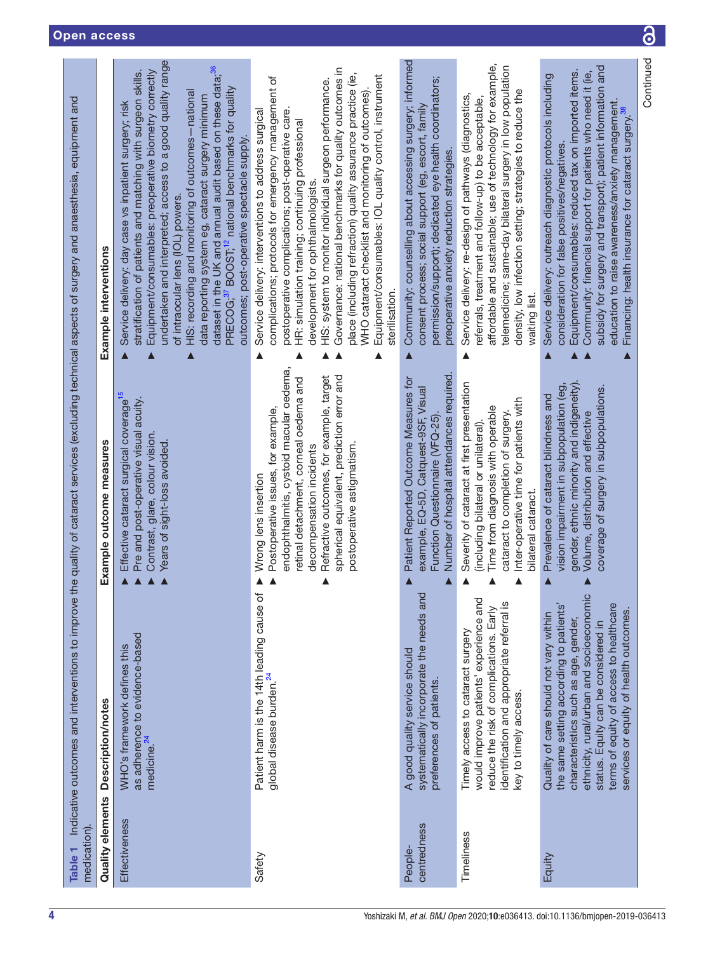<span id="page-3-0"></span>

| medication)            |                                                                                                                                                                                                                                                                                                   |                                                                                                                                                                                                                                                                                                          | Table 1 Indicative outcomes and interventions to improve the quality of cataract services (excluding technical aspects of surgery and anaesthesia, equipment and                                                                                                                                                                                                                                                                                                                                                                                                                                              |
|------------------------|---------------------------------------------------------------------------------------------------------------------------------------------------------------------------------------------------------------------------------------------------------------------------------------------------|----------------------------------------------------------------------------------------------------------------------------------------------------------------------------------------------------------------------------------------------------------------------------------------------------------|---------------------------------------------------------------------------------------------------------------------------------------------------------------------------------------------------------------------------------------------------------------------------------------------------------------------------------------------------------------------------------------------------------------------------------------------------------------------------------------------------------------------------------------------------------------------------------------------------------------|
| Quality elements       | Description/notes                                                                                                                                                                                                                                                                                 | Example outcome measures                                                                                                                                                                                                                                                                                 | Example interventions                                                                                                                                                                                                                                                                                                                                                                                                                                                                                                                                                                                         |
| Effectiveness          | as adherence to evidence-based<br>WHO's framework defines this<br>medicine. <sup>24</sup>                                                                                                                                                                                                         | Effective cataract surgical coverage <sup>15</sup><br>Pre and post-operative visual acuity.<br>Contrast, glare, colour vision<br>Years of sight-loss avoided.                                                                                                                                            | undertaken and interpreted; access to a good quality range<br>dataset in the UK and annual audit based on these data; <sup>36</sup><br>Equipment/consumables: preoperative biometry correctly<br>stratification of patients and matching with surgeon skills.<br>PRECOG; <sup>37</sup> BOOST; <sup>12</sup> national benchmarks for quality<br>HIS: recording and monitoring of outcomes-national<br>data reporting system eg, cataract surgery minimum<br>Service delivery: day case vs inpatient surgery; risk<br>outcomes; post-operative spectacle supply.<br>of intraocular lens (IOL) powers.<br>Δ<br>Λ |
| Safety                 | Patient harm is the 14th leading cause of<br>global disease burden. <sup>24</sup>                                                                                                                                                                                                                 | endophthalmitis, cystoid macular oedema,<br>Refractive outcomes, for example, target<br>spherical equivalent, prediction error and<br>retinal detachment, corneal oedema and<br>Postoperative issues, for example,<br>postoperative astigmatism<br>decompensation incidents<br>Wrong lens insertion<br>▲ | Governance: national benchmarks for quality outcomes in<br>place (including refraction) quality assurance practice (ie,<br>Equipment/consumables: IOL quality control, instrument<br>complications; protocols for emergency management of<br>HIS: system to monitor individual surgeon performance.<br>WHO cataract checklist and monitoring of outcomes)<br>Service delivery: interventions to address surgical<br>postoperative complications; post-operative care<br>HR: simulation training; continuing professional<br>development for ophthalmologists.<br>sterilisation.<br>▲                          |
| centredness<br>People- | systematically incorporate the needs and<br>A good quality service should<br>preferences of patients.                                                                                                                                                                                             | Number of hospital attendances required<br>Patient Reported Outcome Measures for<br>example, EQ-5D, Catquest-9SF, Visual<br>Function Questionnaire (VFQ-25)<br>$\blacktriangle$                                                                                                                          | Community: counselling about accessing surgery; informed<br>permission/support); dedicated eye health coordinators;<br>consent process; social support (eg, escort, family<br>preoperative anxiety reduction strategies.<br>$\blacktriangle$                                                                                                                                                                                                                                                                                                                                                                  |
| Timeliness             | would improve patients' experience and<br>identification and appropriate referral is<br>reduce the risk of complications. Early<br>Timely access to cataract surgery<br>key to timely access.                                                                                                     | Severity of cataract at first presentation<br>Inter-operative time for patients with<br>Time from diagnosis with operable<br>cataract to completion of surgery.<br>(including bilateral or unilateral).<br>bilateral cataract.                                                                           | affordable and sustainable; use of technology for example,<br>telemedicine; same-day bilateral surgery in low population<br>density, low infection setting; strategies to reduce the<br>Service delivery: re-design of pathways (diagnostics,<br>referrals, treatment and follow-up) to be acceptable,<br>waiting list.<br>▲                                                                                                                                                                                                                                                                                  |
| Equity                 | ethnicity, rural/urban and socioeconomic<br>the same setting according to patients'<br>terms of equity of access to healthcare<br>services or equity of health outcomes.<br>Quality of care should not vary within<br>characteristics such as age, gender,<br>status. Equity can be considered in | gender, ethnic minority and indigeneity).<br>vision impairment in subpopulation (eg,<br>coverage of surgery in subpopulations.<br>Prevalence of cataract blindness and<br>Volume, distribution and effective<br>Δ                                                                                        | subsidy for surgery and transport); patient information and<br>Equipment/consumables: reduced tax on imported items.<br>Community: financial support for patients who need it (ie,<br>Service delivery: outreach diagnostic protocols including<br>education to raise awareness/anxiety management.<br>Financing: health insurance for cataract surgery. <sup>38</sup><br>consideration for false positives/negatives.<br>Δ                                                                                                                                                                                   |
|                        |                                                                                                                                                                                                                                                                                                   |                                                                                                                                                                                                                                                                                                          | Continued                                                                                                                                                                                                                                                                                                                                                                                                                                                                                                                                                                                                     |

6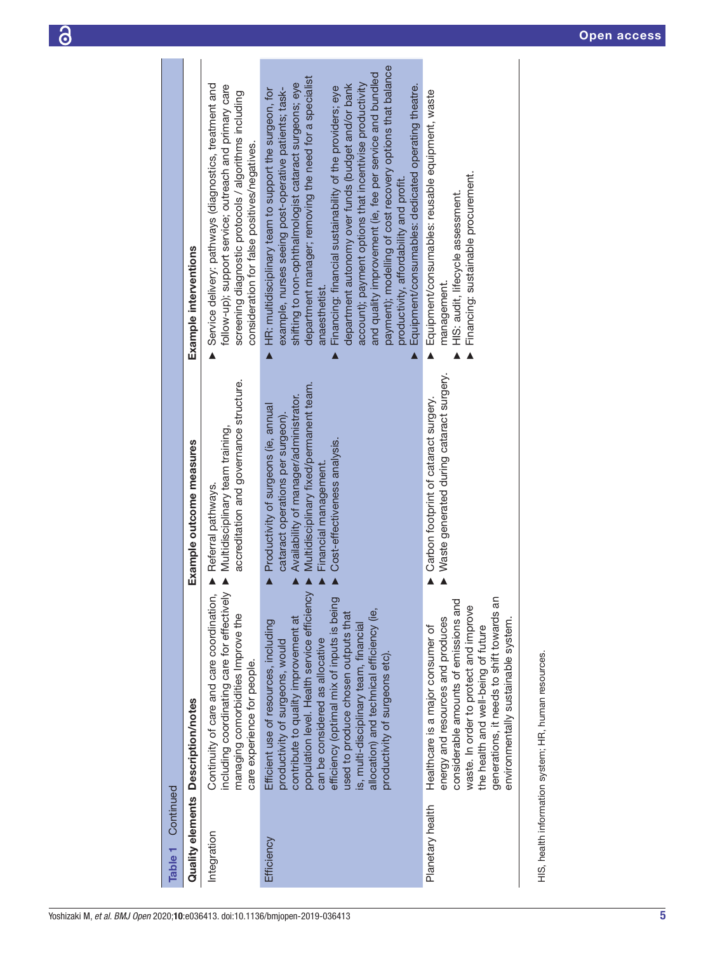$\overline{\omega}$ 

| Continued<br>Table 1 |                                                                                                                                                                                                                                                                                                                                                                                                                  |                                                                                                                                                                                                                        |                                                                                                                                                                                                                                                                                                                                                                                                                                                                                                                                                                                                                                                                                   |
|----------------------|------------------------------------------------------------------------------------------------------------------------------------------------------------------------------------------------------------------------------------------------------------------------------------------------------------------------------------------------------------------------------------------------------------------|------------------------------------------------------------------------------------------------------------------------------------------------------------------------------------------------------------------------|-----------------------------------------------------------------------------------------------------------------------------------------------------------------------------------------------------------------------------------------------------------------------------------------------------------------------------------------------------------------------------------------------------------------------------------------------------------------------------------------------------------------------------------------------------------------------------------------------------------------------------------------------------------------------------------|
|                      | Quality elements Description/notes                                                                                                                                                                                                                                                                                                                                                                               | Example outcome measures                                                                                                                                                                                               | Example interventions                                                                                                                                                                                                                                                                                                                                                                                                                                                                                                                                                                                                                                                             |
| Integration          | Continuity of care and care coordination,<br>including coordinating care for effectively<br>managing comorbidities Improve the<br>care experience for people.                                                                                                                                                                                                                                                    | accreditation and governance structure.<br>Multidisciplinary team training,<br>Referral pathways.                                                                                                                      | Service delivery: pathways (diagnostics, treatment and<br>follow-up); support service; outreach and primary care<br>screening diagnostic protocols / algorithms including<br>consideration for false positives/negatives.<br>$\blacktriangle$                                                                                                                                                                                                                                                                                                                                                                                                                                     |
| Efficiency           | population level. Health service efficiency<br>efficiency (optimal mix of inputs is being<br>allocation) and technical efficiency (ie,<br>used to produce chosen outputs that<br>contribute to quality improvement at<br>Efficient use of resources, including<br>is, multi-disciplinary team, financial<br>can be considered as allocative<br>productivity of surgeons, would<br>productivity of surgeons etc). | Multidisciplinary fixed/permanent team.<br>Availability of manager/administrator.<br>Productivity of surgeons (ie, annual<br>cataract operations per surgeon).<br>Cost-effectiveness analysis.<br>Financial management | payment); modelling of cost recovery options that balance<br>and quality improvement (ie, fee per service and bundled<br>department manager; removing the need for a specialist<br>shifting to non-ophthalmologist cataract surgeons; eye<br>account); payment options that incentivise productivity<br>department autonomy over funds (budget and/or bank<br>Equipment/consumables: dedicated operating theatre.<br>Financing: financial sustainability of the providers; eye<br>example, nurses seeing post-operative patients; task-<br>HR: multidisciplinary team to support the surgeon, for<br>productivity, affordability and profit.<br>anaesthetist.<br>$\blacktriangle$ |
| Planetary health     | generations, it needs to shift towards an<br>considerable amounts of emissions and<br>waste. In order to protect and improve<br>energy and resources and produces<br>environmentally sustainable system.<br>the health and well-being of future<br>Healthcare is a major consumer of                                                                                                                             | Waste generated during cataract surgery.<br>Carbon footprint of cataract surgery.                                                                                                                                      | Equipment/consumables: reusable equipment, waste<br>Financing: sustainable procurement.<br>HIS: audit, lifecycle assessment.<br>management.                                                                                                                                                                                                                                                                                                                                                                                                                                                                                                                                       |
|                      | HIS, health information system; HR, human resources.                                                                                                                                                                                                                                                                                                                                                             |                                                                                                                                                                                                                        |                                                                                                                                                                                                                                                                                                                                                                                                                                                                                                                                                                                                                                                                                   |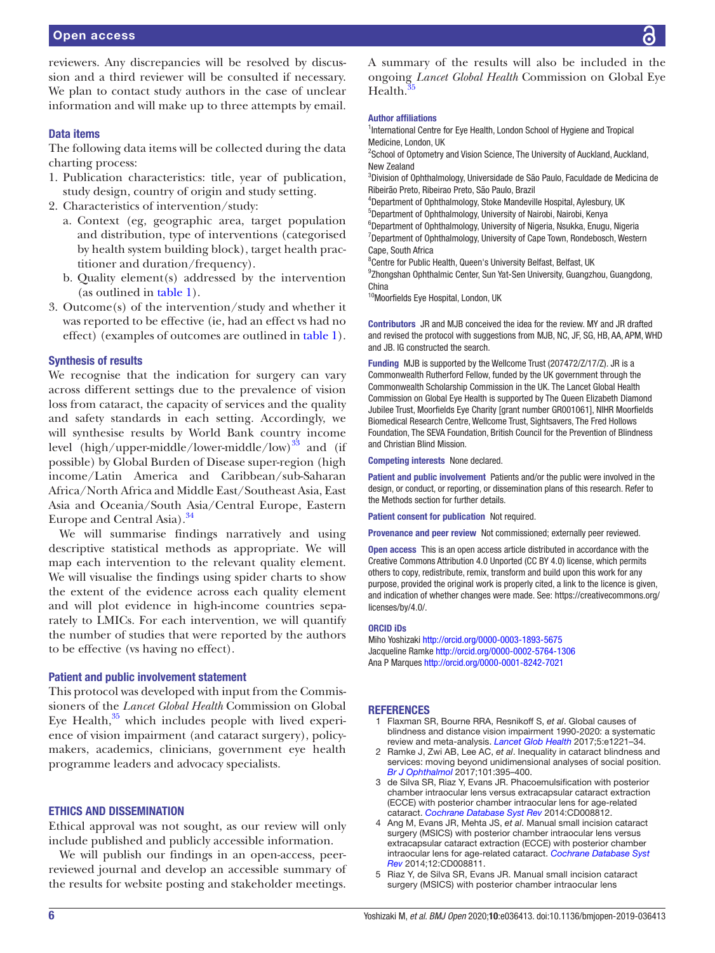reviewers. Any discrepancies will be resolved by discussion and a third reviewer will be consulted if necessary. We plan to contact study authors in the case of unclear information and will make up to three attempts by email.

# Data items

The following data items will be collected during the data charting process:

- 1. Publication characteristics: title, year of publication, study design, country of origin and study setting.
- 2. Characteristics of intervention/study:
	- a. Context (eg, geographic area, target population and distribution, type of interventions (categorised by health system building block), target health practitioner and duration/frequency).
	- b. Quality element(s) addressed by the intervention (as outlined in [table](#page-3-0) 1).
- 3. Outcome(s) of the intervention/study and whether it was reported to be effective (ie, had an effect vs had no effect) (examples of outcomes are outlined in [table](#page-3-0) 1).

#### Synthesis of results

We recognise that the indication for surgery can vary across different settings due to the prevalence of vision loss from cataract, the capacity of services and the quality and safety standards in each setting. Accordingly, we will synthesise results by World Bank country income level (high/upper-middle/lower-middle/low) $^{33}$  and (if possible) by Global Burden of Disease super-region (high income/Latin America and Caribbean/sub-Saharan Africa/North Africa and Middle East/Southeast Asia, East Asia and Oceania/South Asia/Central Europe, Eastern Europe and Central Asia).<sup>[34](#page-6-26)</sup>

We will summarise findings narratively and using descriptive statistical methods as appropriate. We will map each intervention to the relevant quality element. We will visualise the findings using spider charts to show the extent of the evidence across each quality element and will plot evidence in high-income countries separately to LMICs. For each intervention, we will quantify the number of studies that were reported by the authors to be effective (vs having no effect).

### Patient and public involvement statement

This protocol was developed with input from the Commissioners of the *Lancet Global Health* Commission on Global Eye Health, $35$  which includes people with lived experience of vision impairment (and cataract surgery), policymakers, academics, clinicians, government eye health programme leaders and advocacy specialists.

# Ethics and dissemination

Ethical approval was not sought, as our review will only include published and publicly accessible information.

We will publish our findings in an open-access, peerreviewed journal and develop an accessible summary of the results for website posting and stakeholder meetings.

A summary of the results will also be included in the ongoing *Lancet Global Health* Commission on Global Eye Health[.35](#page-6-27)

#### Author affiliations

<sup>1</sup>International Centre for Eye Health, London School of Hygiene and Tropical Medicine, London, UK

<sup>2</sup>School of Optometry and Vision Science, The University of Auckland, Auckland, New Zealand

3 Division of Ophthalmology, Universidade de São Paulo, Faculdade de Medicina de Ribeirão Preto, Ribeirao Preto, São Paulo, Brazil

4 Department of Ophthalmology, Stoke Mandeville Hospital, Aylesbury, UK 5 Department of Ophthalmology, University of Nairobi, Nairobi, Kenya

<sup>6</sup>Department of Ophthalmology, University of Nigeria, Nsukka, Enugu, Nigeria <sup>7</sup>Department of Ophthalmology, University of Cape Town, Rondebosch, Western Cape, South Africa

<sup>8</sup> Centre for Public Health, Queen's University Belfast, Belfast, UK

<sup>9</sup>Zhongshan Ophthalmic Center, Sun Yat-Sen University, Guangzhou, Guangdong, China

<sup>10</sup>Moorfields Eye Hospital, London, UK

Contributors JR and MJB conceived the idea for the review. MY and JR drafted and revised the protocol with suggestions from MJB, NC, JF, SG, HB, AA, APM, WHD and JB. IG constructed the search.

Funding MJB is supported by the Wellcome Trust (207472/Z/17/Z). JR is a Commonwealth Rutherford Fellow, funded by the UK government through the Commonwealth Scholarship Commission in the UK. The Lancet Global Health Commission on Global Eye Health is supported by The Queen Elizabeth Diamond Jubilee Trust, Moorfields Eye Charity [grant number GR001061], NIHR Moorfields Biomedical Research Centre, Wellcome Trust, Sightsavers, The Fred Hollows Foundation, The SEVA Foundation, British Council for the Prevention of Blindness and Christian Blind Mission.

Competing interests None declared.

Patient and public involvement Patients and/or the public were involved in the design, or conduct, or reporting, or dissemination plans of this research. Refer to the Methods section for further details.

Patient consent for publication Not required.

Provenance and peer review Not commissioned; externally peer reviewed.

Open access This is an open access article distributed in accordance with the Creative Commons Attribution 4.0 Unported (CC BY 4.0) license, which permits others to copy, redistribute, remix, transform and build upon this work for any purpose, provided the original work is properly cited, a link to the licence is given, and indication of whether changes were made. See: [https://creativecommons.org/](https://creativecommons.org/licenses/by/4.0/) [licenses/by/4.0/](https://creativecommons.org/licenses/by/4.0/).

#### ORCID iDs

Miho Yoshizaki<http://orcid.org/0000-0003-1893-5675> Jacqueline Ramke<http://orcid.org/0000-0002-5764-1306> Ana P Marques <http://orcid.org/0000-0001-8242-7021>

#### <span id="page-5-0"></span>**REFERENCES**

- 1 Flaxman SR, Bourne RRA, Resnikoff S, *et al*. Global causes of blindness and distance vision impairment 1990-2020: a systematic review and meta-analysis. *[Lancet Glob Health](http://dx.doi.org/10.1016/S2214-109X(17)30393-5)* 2017;5:e1221–34.
- <span id="page-5-1"></span>2 Ramke J, Zwi AB, Lee AC, *et al*. Inequality in cataract blindness and services: moving beyond unidimensional analyses of social position. *[Br J Ophthalmol](http://dx.doi.org/10.1136/bjophthalmol-2016-309691)* 2017;101:395–400.
- <span id="page-5-2"></span>3 de Silva SR, Riaz Y, Evans JR. Phacoemulsification with posterior chamber intraocular lens versus extracapsular cataract extraction (ECCE) with posterior chamber intraocular lens for age-related cataract. *[Cochrane Database Syst Rev](http://dx.doi.org/10.1002/14651858.CD008812.pub2)* 2014:CD008812.
- 4 Ang M, Evans JR, Mehta JS, *et al*. Manual small incision cataract surgery (MSICS) with posterior chamber intraocular lens versus extracapsular cataract extraction (ECCE) with posterior chamber intraocular lens for age-related cataract. *[Cochrane Database Syst](http://dx.doi.org/10.1002/14651858.CD008811.pub3)  [Rev](http://dx.doi.org/10.1002/14651858.CD008811.pub3)* 2014;12:CD008811.
- 5 Riaz Y, de Silva SR, Evans JR. Manual small incision cataract surgery (MSICS) with posterior chamber intraocular lens